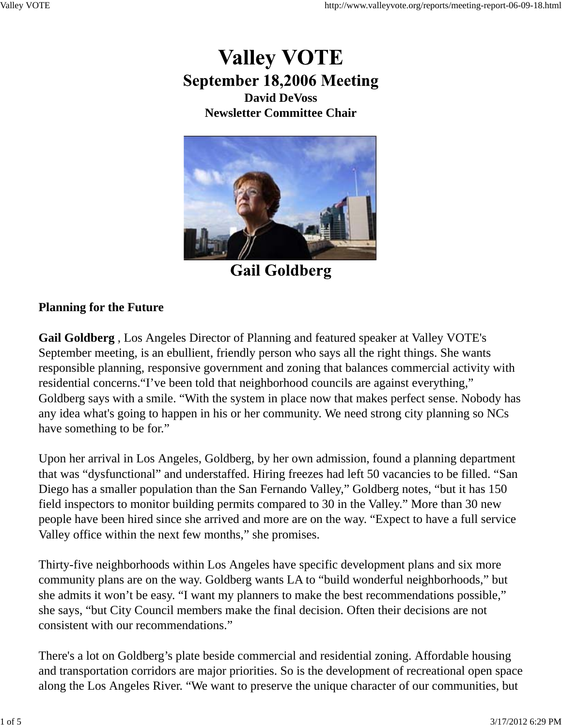# **Valley VOTE September 18,2006 Meeting David DeVoss Newsletter Committee Chair**



**Gail Goldberg** 

## **Planning for the Future**

**Gail Goldberg** , Los Angeles Director of Planning and featured speaker at Valley VOTE's September meeting, is an ebullient, friendly person who says all the right things. She wants responsible planning, responsive government and zoning that balances commercial activity with residential concerns."I've been told that neighborhood councils are against everything," Goldberg says with a smile. "With the system in place now that makes perfect sense. Nobody has any idea what's going to happen in his or her community. We need strong city planning so NCs have something to be for."

Upon her arrival in Los Angeles, Goldberg, by her own admission, found a planning department that was "dysfunctional" and understaffed. Hiring freezes had left 50 vacancies to be filled. "San Diego has a smaller population than the San Fernando Valley," Goldberg notes, "but it has 150 field inspectors to monitor building permits compared to 30 in the Valley." More than 30 new people have been hired since she arrived and more are on the way. "Expect to have a full service Valley office within the next few months," she promises.

Thirty-five neighborhoods within Los Angeles have specific development plans and six more community plans are on the way. Goldberg wants LA to "build wonderful neighborhoods," but she admits it won't be easy. "I want my planners to make the best recommendations possible," she says, "but City Council members make the final decision. Often their decisions are not consistent with our recommendations."

There's a lot on Goldberg's plate beside commercial and residential zoning. Affordable housing and transportation corridors are major priorities. So is the development of recreational open space along the Los Angeles River. "We want to preserve the unique character of our communities, but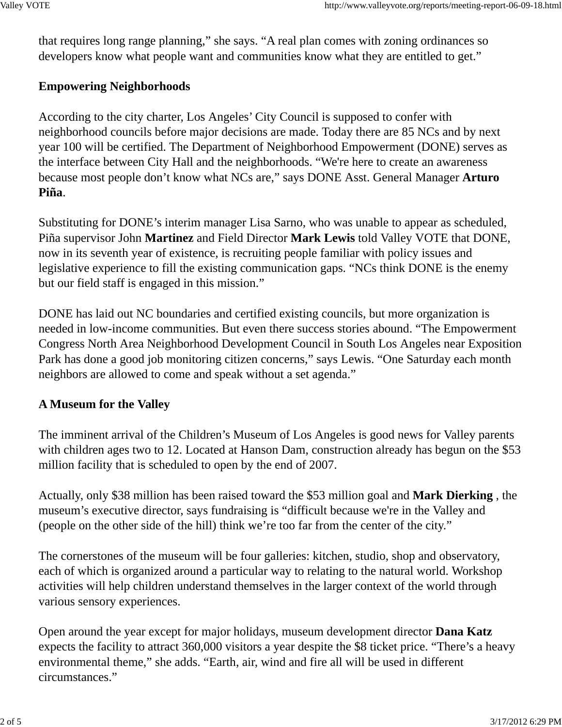that requires long range planning," she says. "A real plan comes with zoning ordinances so developers know what people want and communities know what they are entitled to get."

### **Empowering Neighborhoods**

According to the city charter, Los Angeles' City Council is supposed to confer with neighborhood councils before major decisions are made. Today there are 85 NCs and by next year 100 will be certified. The Department of Neighborhood Empowerment (DONE) serves as the interface between City Hall and the neighborhoods. "We're here to create an awareness because most people don't know what NCs are," says DONE Asst. General Manager **Arturo Piña**.

Substituting for DONE's interim manager Lisa Sarno, who was unable to appear as scheduled, Piña supervisor John **Martinez** and Field Director **Mark Lewis** told Valley VOTE that DONE, now in its seventh year of existence, is recruiting people familiar with policy issues and legislative experience to fill the existing communication gaps. "NCs think DONE is the enemy but our field staff is engaged in this mission."

DONE has laid out NC boundaries and certified existing councils, but more organization is needed in low-income communities. But even there success stories abound. "The Empowerment Congress North Area Neighborhood Development Council in South Los Angeles near Exposition Park has done a good job monitoring citizen concerns," says Lewis. "One Saturday each month neighbors are allowed to come and speak without a set agenda."

## **A Museum for the Valley**

The imminent arrival of the Children's Museum of Los Angeles is good news for Valley parents with children ages two to 12. Located at Hanson Dam, construction already has begun on the \$53 million facility that is scheduled to open by the end of 2007.

Actually, only \$38 million has been raised toward the \$53 million goal and **Mark Dierking** , the museum's executive director, says fundraising is "difficult because we're in the Valley and (people on the other side of the hill) think we're too far from the center of the city."

The cornerstones of the museum will be four galleries: kitchen, studio, shop and observatory, each of which is organized around a particular way to relating to the natural world. Workshop activities will help children understand themselves in the larger context of the world through various sensory experiences.

Open around the year except for major holidays, museum development director **Dana Katz** expects the facility to attract 360,000 visitors a year despite the \$8 ticket price. "There's a heavy environmental theme," she adds. "Earth, air, wind and fire all will be used in different circumstances."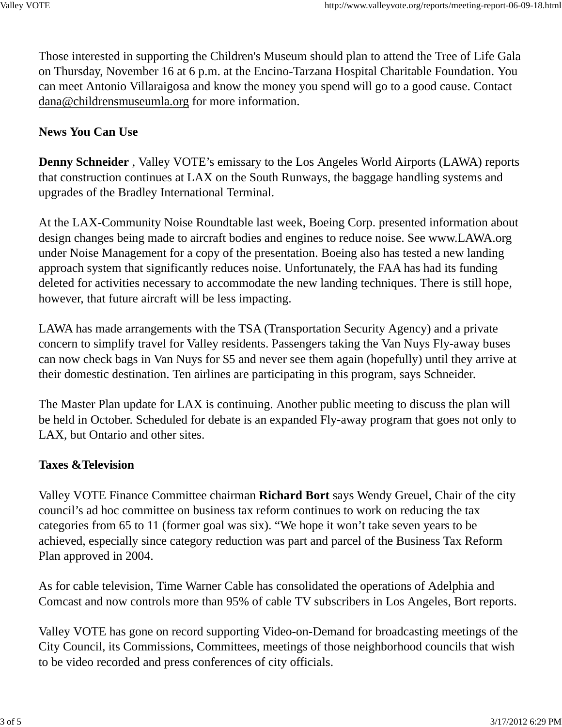Those interested in supporting the Children's Museum should plan to attend the Tree of Life Gala on Thursday, November 16 at 6 p.m. at the Encino-Tarzana Hospital Charitable Foundation. You can meet Antonio Villaraigosa and know the money you spend will go to a good cause. Contact dana@childrensmuseumla.org for more information.

#### **News You Can Use**

**Denny Schneider** , Valley VOTE's emissary to the Los Angeles World Airports (LAWA) reports that construction continues at LAX on the South Runways, the baggage handling systems and upgrades of the Bradley International Terminal.

At the LAX-Community Noise Roundtable last week, Boeing Corp. presented information about design changes being made to aircraft bodies and engines to reduce noise. See www.LAWA.org under Noise Management for a copy of the presentation. Boeing also has tested a new landing approach system that significantly reduces noise. Unfortunately, the FAA has had its funding deleted for activities necessary to accommodate the new landing techniques. There is still hope, however, that future aircraft will be less impacting.

LAWA has made arrangements with the TSA (Transportation Security Agency) and a private concern to simplify travel for Valley residents. Passengers taking the Van Nuys Fly-away buses can now check bags in Van Nuys for \$5 and never see them again (hopefully) until they arrive at their domestic destination. Ten airlines are participating in this program, says Schneider.

The Master Plan update for LAX is continuing. Another public meeting to discuss the plan will be held in October. Scheduled for debate is an expanded Fly-away program that goes not only to LAX, but Ontario and other sites.

#### **Taxes &Television**

Valley VOTE Finance Committee chairman **Richard Bort** says Wendy Greuel, Chair of the city council's ad hoc committee on business tax reform continues to work on reducing the tax categories from 65 to 11 (former goal was six). "We hope it won't take seven years to be achieved, especially since category reduction was part and parcel of the Business Tax Reform Plan approved in 2004.

As for cable television, Time Warner Cable has consolidated the operations of Adelphia and Comcast and now controls more than 95% of cable TV subscribers in Los Angeles, Bort reports.

Valley VOTE has gone on record supporting Video-on-Demand for broadcasting meetings of the City Council, its Commissions, Committees, meetings of those neighborhood councils that wish to be video recorded and press conferences of city officials.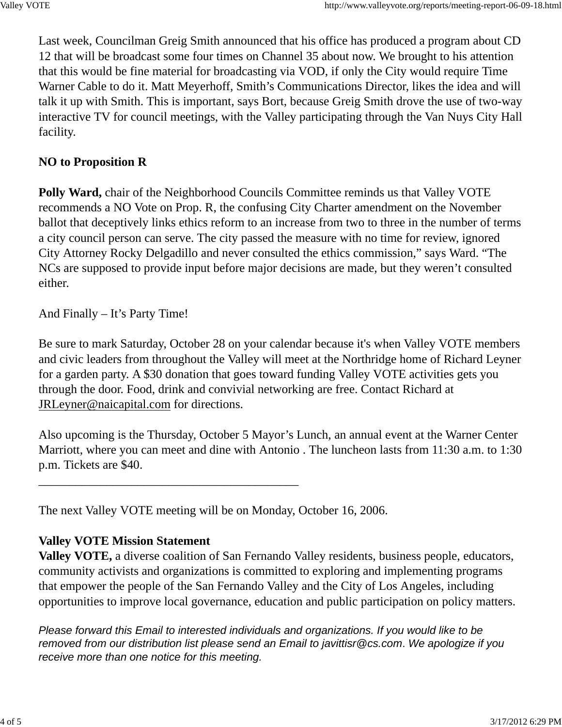Last week, Councilman Greig Smith announced that his office has produced a program about CD 12 that will be broadcast some four times on Channel 35 about now. We brought to his attention that this would be fine material for broadcasting via VOD, if only the City would require Time Warner Cable to do it. Matt Meyerhoff, Smith's Communications Director, likes the idea and will talk it up with Smith. This is important, says Bort, because Greig Smith drove the use of two-way interactive TV for council meetings, with the Valley participating through the Van Nuys City Hall facility.

#### **NO to Proposition R**

**Polly Ward,** chair of the Neighborhood Councils Committee reminds us that Valley VOTE recommends a NO Vote on Prop. R, the confusing City Charter amendment on the November ballot that deceptively links ethics reform to an increase from two to three in the number of terms a city council person can serve. The city passed the measure with no time for review, ignored City Attorney Rocky Delgadillo and never consulted the ethics commission," says Ward. "The NCs are supposed to provide input before major decisions are made, but they weren't consulted either.

And Finally – It's Party Time!

Be sure to mark Saturday, October 28 on your calendar because it's when Valley VOTE members and civic leaders from throughout the Valley will meet at the Northridge home of Richard Leyner for a garden party. A \$30 donation that goes toward funding Valley VOTE activities gets you through the door. Food, drink and convivial networking are free. Contact Richard at JRLeyner@naicapital.com for directions.

Also upcoming is the Thursday, October 5 Mayor's Lunch, an annual event at the Warner Center Marriott, where you can meet and dine with Antonio . The luncheon lasts from 11:30 a.m. to 1:30 p.m. Tickets are \$40.

The next Valley VOTE meeting will be on Monday, October 16, 2006.

\_\_\_\_\_\_\_\_\_\_\_\_\_\_\_\_\_\_\_\_\_\_\_\_\_\_\_\_\_\_\_\_\_\_\_\_\_\_\_\_\_\_

#### **Valley VOTE Mission Statement**

**Valley VOTE,** a diverse coalition of San Fernando Valley residents, business people, educators, community activists and organizations is committed to exploring and implementing programs that empower the people of the San Fernando Valley and the City of Los Angeles, including opportunities to improve local governance, education and public participation on policy matters.

*Please forward this Email to interested individuals and organizations. If you would like to be removed from our distribution list please send an Email to javittisr@cs.com*. *We apologize if you receive more than one notice for this meeting.*